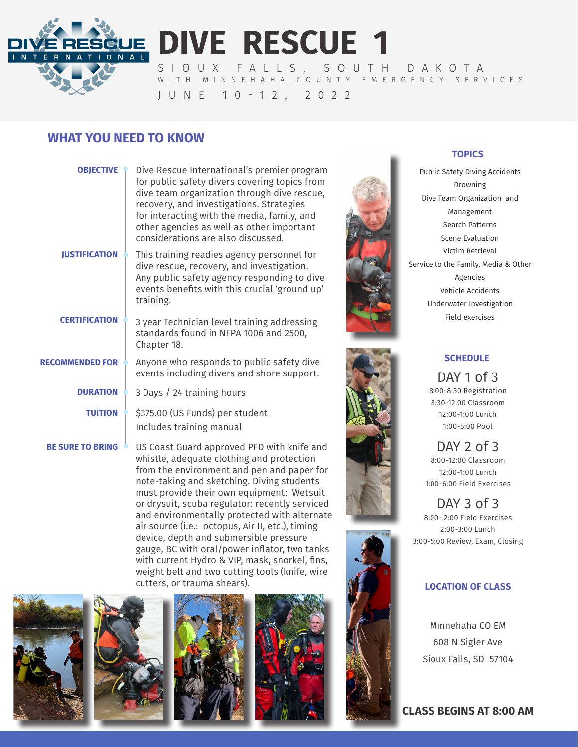**DIVE RESCUE 1**

SIOUX FALLS, SOUTH DAKOTA WITH MINNEHAHA COUNTY EMERGENCY SERVICES JUNE 10-12, 2022

# **WHAT YOU NEED TO KNOW**

ONAL

| <b>OBJECTIVE</b>        | Dive Rescue International's premier program<br>for public safety divers covering topics from<br>dive team organization through dive rescue,<br>recovery, and investigations. Strategies<br>for interacting with the media, family, and<br>other agencies as well as other important<br>considerations are also discussed. |
|-------------------------|---------------------------------------------------------------------------------------------------------------------------------------------------------------------------------------------------------------------------------------------------------------------------------------------------------------------------|
| <b>IUSTIFICATION</b>    | This training readies agency personnel for<br>dive rescue, recovery, and investigation.<br>Any public safety agency responding to dive<br>events benefits with this crucial 'ground up'<br>training.                                                                                                                      |
| <b>CERTIFICATION</b>    | 3 year Technician level training addressing<br>standards found in NFPA 1006 and 2500,<br>Chapter 18.                                                                                                                                                                                                                      |
| <b>RECOMMENDED FOR</b>  | Anyone who responds to public safety dive<br>events including divers and shore support.                                                                                                                                                                                                                                   |
| <b>DURATION</b>         | 3 Days / 24 training hours                                                                                                                                                                                                                                                                                                |
| <b>TUITION</b>          | \$375.00 (US Funds) per student<br>Includes training manual                                                                                                                                                                                                                                                               |
| <b>BE SURE TO BRING</b> | US Coast Guard approved PFD with knife and                                                                                                                                                                                                                                                                                |

US Coast Guard approved PFD with knife and whistle, adequate clothing and protection from the environment and pen and paper for note-taking and sketching. Diving students must provide their own equipment: Wetsuit or drysuit, scuba regulator: recently serviced and environmentally protected with alternate air source (i.e.: octopus, Air II, etc.), timing device, depth and submersible pressure gauge, BC with oral/power inflator, two tanks with current Hydro & VIP, mask, snorkel, fins, weight belt and two cutting tools (knife, wire cutters, or trauma shears).











## **TOPICS**

Public Safety Diving Accidents Drowning Dive Team Organization and Management Search Patterns Scene Evaluation Victim Retrieval Service to the Family, Media & Other Agencies Vehicle Accidents Underwater Investigation Field exercises



### **SCHEDULE**

DAY 1 of 3 8:00-8:30 Registration 8:30-12:00 Classroom 12:00-1:00 Lunch 1:00-5:00 Pool

DAY 2 of 3 8:00-12:00 Classroom 12:00-1:00 Lunch 1:00-6:00 Field Exercises

DAY 3 of 3 8:00- 2:00 Field Exercises 2:00-3:00 Lunch 3:00-5:00 Review, Exam, Closing

## **LOCATION OF CLASS**

Minnehaha CO EM 608 N Sigler Ave Sioux Falls, SD 57104

**CLASS BEGINS AT 8:00 AM**